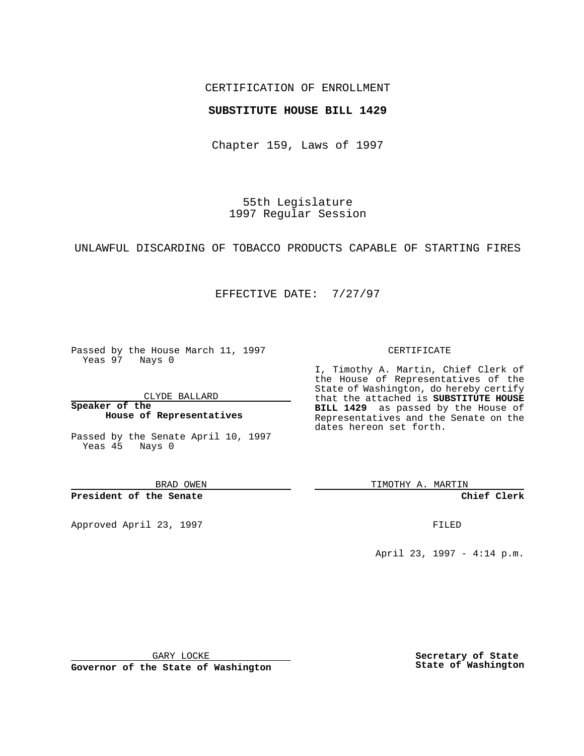## CERTIFICATION OF ENROLLMENT

## **SUBSTITUTE HOUSE BILL 1429**

Chapter 159, Laws of 1997

55th Legislature 1997 Regular Session

UNLAWFUL DISCARDING OF TOBACCO PRODUCTS CAPABLE OF STARTING FIRES

## EFFECTIVE DATE: 7/27/97

Passed by the House March 11, 1997 Yeas 97 Nays 0

CLYDE BALLARD

**Speaker of the House of Representatives**

Passed by the Senate April 10, 1997 Yeas 45 Nays 0

BRAD OWEN

**President of the Senate**

Approved April 23, 1997 **FILED** 

### CERTIFICATE

I, Timothy A. Martin, Chief Clerk of the House of Representatives of the State of Washington, do hereby certify that the attached is **SUBSTITUTE HOUSE BILL 1429** as passed by the House of Representatives and the Senate on the dates hereon set forth.

TIMOTHY A. MARTIN

**Chief Clerk**

April 23, 1997 - 4:14 p.m.

GARY LOCKE

**Governor of the State of Washington**

**Secretary of State State of Washington**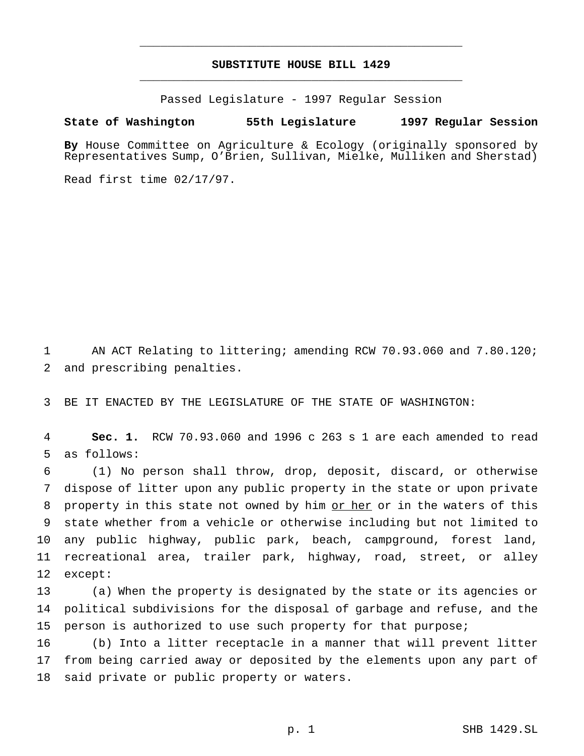# **SUBSTITUTE HOUSE BILL 1429** \_\_\_\_\_\_\_\_\_\_\_\_\_\_\_\_\_\_\_\_\_\_\_\_\_\_\_\_\_\_\_\_\_\_\_\_\_\_\_\_\_\_\_\_\_\_\_

\_\_\_\_\_\_\_\_\_\_\_\_\_\_\_\_\_\_\_\_\_\_\_\_\_\_\_\_\_\_\_\_\_\_\_\_\_\_\_\_\_\_\_\_\_\_\_

Passed Legislature - 1997 Regular Session

#### **State of Washington 55th Legislature 1997 Regular Session**

**By** House Committee on Agriculture & Ecology (originally sponsored by Representatives Sump, O'Brien, Sullivan, Mielke, Mulliken and Sherstad)

Read first time 02/17/97.

 AN ACT Relating to littering; amending RCW 70.93.060 and 7.80.120; and prescribing penalties.

BE IT ENACTED BY THE LEGISLATURE OF THE STATE OF WASHINGTON:

 **Sec. 1.** RCW 70.93.060 and 1996 c 263 s 1 are each amended to read as follows:

 (1) No person shall throw, drop, deposit, discard, or otherwise dispose of litter upon any public property in the state or upon private property in this state not owned by him or her or in the waters of this state whether from a vehicle or otherwise including but not limited to any public highway, public park, beach, campground, forest land, recreational area, trailer park, highway, road, street, or alley except:

 (a) When the property is designated by the state or its agencies or political subdivisions for the disposal of garbage and refuse, and the 15 person is authorized to use such property for that purpose;

 (b) Into a litter receptacle in a manner that will prevent litter from being carried away or deposited by the elements upon any part of said private or public property or waters.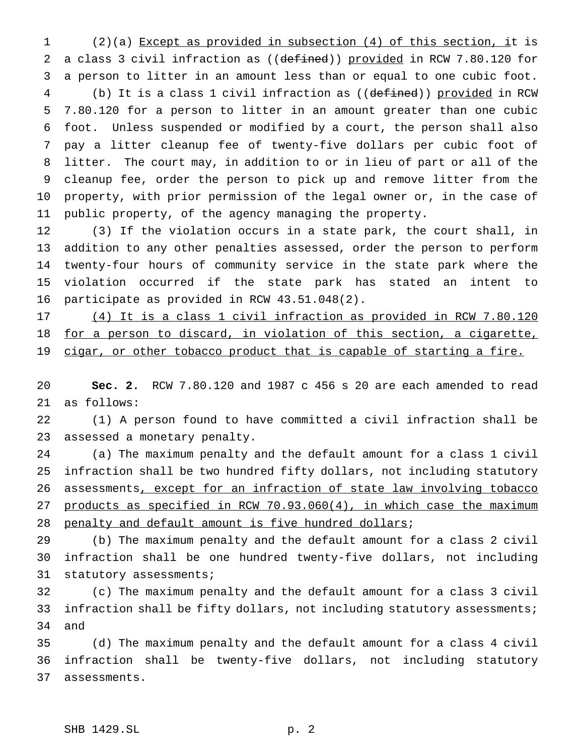(2)(a) Except as provided in subsection (4) of this section, it is 2 a class 3 civil infraction as ((defined)) provided in RCW 7.80.120 for a person to litter in an amount less than or equal to one cubic foot. 4 (b) It is a class 1 civil infraction as ((defined)) provided in RCW 7.80.120 for a person to litter in an amount greater than one cubic foot. Unless suspended or modified by a court, the person shall also pay a litter cleanup fee of twenty-five dollars per cubic foot of litter. The court may, in addition to or in lieu of part or all of the cleanup fee, order the person to pick up and remove litter from the property, with prior permission of the legal owner or, in the case of public property, of the agency managing the property.

 (3) If the violation occurs in a state park, the court shall, in addition to any other penalties assessed, order the person to perform twenty-four hours of community service in the state park where the violation occurred if the state park has stated an intent to participate as provided in RCW 43.51.048(2).

 (4) It is a class 1 civil infraction as provided in RCW 7.80.120 18 for a person to discard, in violation of this section, a cigarette, 19 cigar, or other tobacco product that is capable of starting a fire.

 **Sec. 2.** RCW 7.80.120 and 1987 c 456 s 20 are each amended to read as follows:

 (1) A person found to have committed a civil infraction shall be assessed a monetary penalty.

 (a) The maximum penalty and the default amount for a class 1 civil infraction shall be two hundred fifty dollars, not including statutory 26 assessments, except for an infraction of state law involving tobacco products as specified in RCW 70.93.060(4), in which case the maximum 28 penalty and default amount is five hundred dollars;

 (b) The maximum penalty and the default amount for a class 2 civil infraction shall be one hundred twenty-five dollars, not including 31 statutory assessments;

 (c) The maximum penalty and the default amount for a class 3 civil infraction shall be fifty dollars, not including statutory assessments; and

 (d) The maximum penalty and the default amount for a class 4 civil infraction shall be twenty-five dollars, not including statutory assessments.